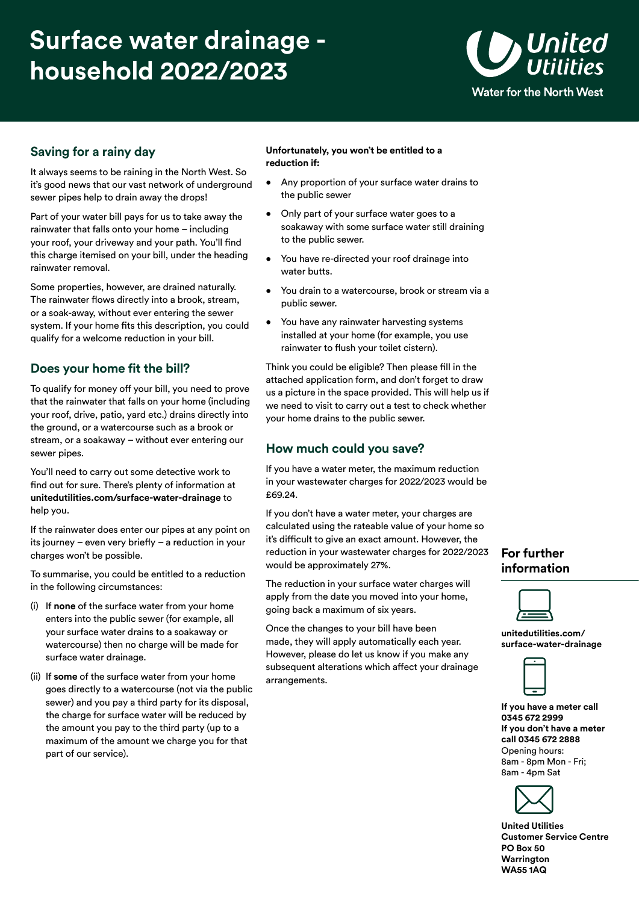# **Surface water drainage household 2022/2023**



## **Saving for a rainy day**

It always seems to be raining in the North West. So it's good news that our vast network of underground sewer pipes help to drain away the drops!

Part of your water bill pays for us to take away the rainwater that falls onto your home – including your roof, your driveway and your path. You'll find this charge itemised on your bill, under the heading rainwater removal.

Some properties, however, are drained naturally. The rainwater flows directly into a brook, stream, or a soak-away, without ever entering the sewer system. If your home fits this description, you could qualify for a welcome reduction in your bill.

## **Does your home fit the bill?**

To qualify for money off your bill, you need to prove that the rainwater that falls on your home (including your roof, drive, patio, yard etc.) drains directly into the ground, or a watercourse such as a brook or stream, or a soakaway – without ever entering our sewer pipes.

You'll need to carry out some detective work to find out for sure. There's plenty of information at **[unitedutilities.com/surface-water-drainage](https://unitedutilities.com/surface-water-drainage)** to help you.

If the rainwater does enter our pipes at any point on its journey – even very briefly – a reduction in your charges won't be possible.

To summarise, you could be entitled to a reduction in the following circumstances:

- (i) If **none** of the surface water from your home enters into the public sewer (for example, all your surface water drains to a soakaway or watercourse) then no charge will be made for surface water drainage.
- (ii) If **some** of the surface water from your home goes directly to a watercourse (not via the public sewer) and you pay a third party for its disposal, the charge for surface water will be reduced by the amount you pay to the third party (up to a maximum of the amount we charge you for that part of our service).

### **Unfortunately, you won't be entitled to a reduction if:**

- Any proportion of your surface water drains to the public sewer
- Only part of your surface water goes to a soakaway with some surface water still draining to the public sewer.
- You have re-directed your roof drainage into water butts.
- You drain to a watercourse, brook or stream via a public sewer.
- You have any rainwater harvesting systems installed at your home (for example, you use rainwater to flush your toilet cistern).

Think you could be eligible? Then please fill in the attached application form, and don't forget to draw us a picture in the space provided. This will help us if we need to visit to carry out a test to check whether your home drains to the public sewer.

## **How much could you save?**

If you have a water meter, the maximum reduction in your wastewater charges for 2022/2023 would be £69.24.

If you don't have a water meter, your charges are calculated using the rateable value of your home so it's difficult to give an exact amount. However, the reduction in your wastewater charges for 2022/2023 would be approximately 27%.

The reduction in your surface water charges will apply from the date you moved into your home, going back a maximum of six years.

Once the changes to your bill have been made, they will apply automatically each year. However, please do let us know if you make any subsequent alterations which affect your drainage arrangements.

## **For further information**

**unitedutilities.com/ [surface-water-drainage](https://unitedutilities.com/surface-water-drainage)** 



**If you have a meter call 0345 672 2999 If you don't have a meter call 0345 672 2888**  Opening hours: 8am - 8pm Mon - Fri; 8am - 4pm Sat



**United Utilities Customer Service Centre PO Box 50 Warrington WA55 1AQ**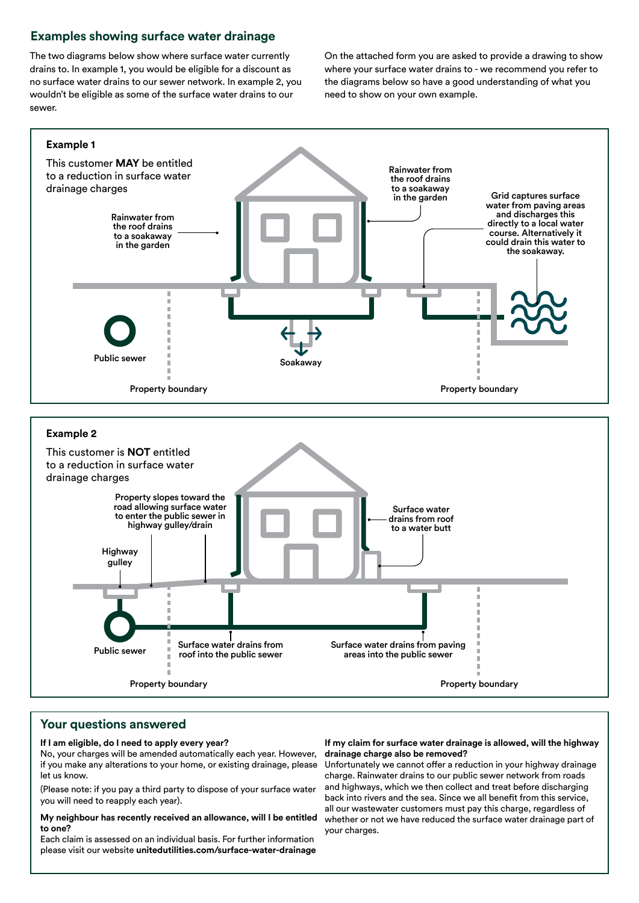## **Examples showing surface water drainage**

no surface water drains to our sewer network. In example 2, you the diagrams below so have a good understanding of what you wouldn't be eligible as some of the surface water drains to our need to show on your own example. sewer.

The two diagrams below show where surface water currently On the attached form you are asked to provide a drawing to show drains to. In example 1, you would be eligible for a discount as where your surface water drains to - we recommend you refer to



## **Your questions answered**

#### **If I am eligible, do I need to apply every year?**

No, your charges will be amended automatically each year. However, if you make any alterations to your home, or existing drainage, please let us know.

(Please note: if you pay a third party to dispose of your surface water you will need to reapply each year).

#### **My neighbour has recently received an allowance, will I be entitled to one?**

Each claim is assessed on an individual basis. For further information please visit our website **[unitedutilities.com/surface-water-drainage](https://unitedutilities.com/surface-water-drainage)** 

### **If my claim for surface water drainage is allowed, will the highway drainage charge also be removed?**

Unfortunately we cannot offer a reduction in your highway drainage charge. Rainwater drains to our public sewer network from roads and highways, which we then collect and treat before discharging back into rivers and the sea. Since we all benefit from this service, all our wastewater customers must pay this charge, regardless of whether or not we have reduced the surface water drainage part of your charges.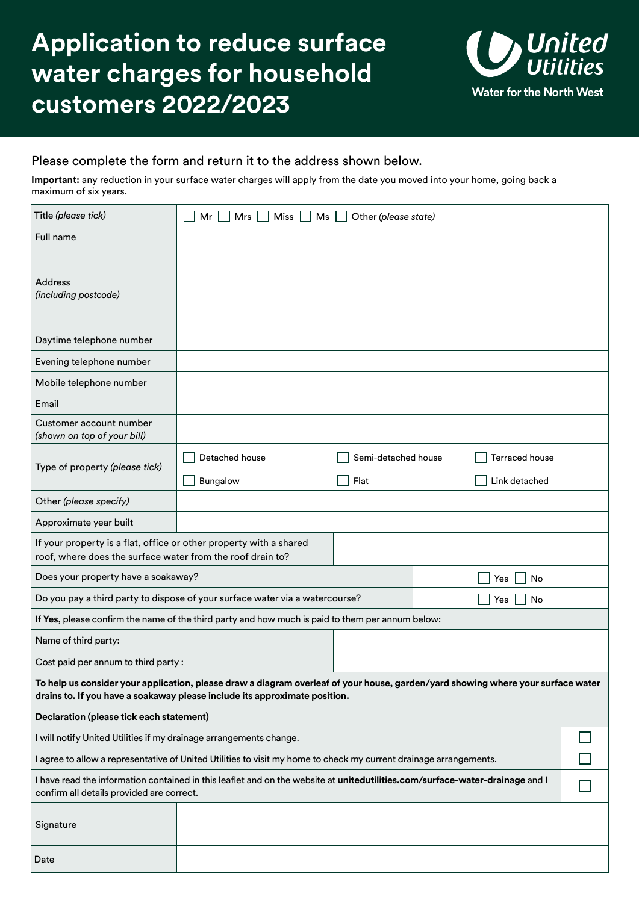# **Application to reduce surface water charges for household customers 2022/2023**



## Please complete the form and return it to the address shown below.

**Important:** any reduction in your surface water charges will apply from the date you moved into your home, going back a maximum of six years.

| Title (please tick)                                                                                                                                                                                            | Miss <sup>1</sup><br>Other (please state)<br>Mr<br>Mrs<br>$Ms$ $\Box$ |                                                                       |           |           |  |  |
|----------------------------------------------------------------------------------------------------------------------------------------------------------------------------------------------------------------|-----------------------------------------------------------------------|-----------------------------------------------------------------------|-----------|-----------|--|--|
| Full name                                                                                                                                                                                                      |                                                                       |                                                                       |           |           |  |  |
| <b>Address</b><br>(including postcode)                                                                                                                                                                         |                                                                       |                                                                       |           |           |  |  |
| Daytime telephone number                                                                                                                                                                                       |                                                                       |                                                                       |           |           |  |  |
| Evening telephone number                                                                                                                                                                                       |                                                                       |                                                                       |           |           |  |  |
| Mobile telephone number                                                                                                                                                                                        |                                                                       |                                                                       |           |           |  |  |
| Email                                                                                                                                                                                                          |                                                                       |                                                                       |           |           |  |  |
| Customer account number<br>(shown on top of your bill)                                                                                                                                                         |                                                                       |                                                                       |           |           |  |  |
| Type of property (please tick)                                                                                                                                                                                 | Detached house<br>Bungalow                                            | Semi-detached house<br><b>Terraced house</b><br>Flat<br>Link detached |           |           |  |  |
| Other (please specify)                                                                                                                                                                                         |                                                                       |                                                                       |           |           |  |  |
| Approximate year built                                                                                                                                                                                         |                                                                       |                                                                       |           |           |  |  |
| If your property is a flat, office or other property with a shared<br>roof, where does the surface water from the roof drain to?                                                                               |                                                                       |                                                                       |           |           |  |  |
| Does your property have a soakaway?                                                                                                                                                                            |                                                                       |                                                                       |           | No<br>Yes |  |  |
| Do you pay a third party to dispose of your surface water via a watercourse?                                                                                                                                   |                                                                       |                                                                       | Yes<br>No |           |  |  |
| If Yes, please confirm the name of the third party and how much is paid to them per annum below:                                                                                                               |                                                                       |                                                                       |           |           |  |  |
| Name of third party:                                                                                                                                                                                           |                                                                       |                                                                       |           |           |  |  |
| Cost paid per annum to third party:                                                                                                                                                                            |                                                                       |                                                                       |           |           |  |  |
| To help us consider your application, please draw a diagram overleaf of your house, garden/yard showing where your surface water<br>drains to. If you have a soakaway please include its approximate position. |                                                                       |                                                                       |           |           |  |  |
| Declaration (please tick each statement)                                                                                                                                                                       |                                                                       |                                                                       |           |           |  |  |
| I will notify United Utilities if my drainage arrangements change.                                                                                                                                             |                                                                       |                                                                       |           |           |  |  |
| I agree to allow a representative of United Utilities to visit my home to check my current drainage arrangements.                                                                                              |                                                                       |                                                                       |           |           |  |  |
| I have read the information contained in this leaflet and on the website at unitedutilities.com/surface-water-drainage and I<br>confirm all details provided are correct.                                      |                                                                       |                                                                       |           |           |  |  |
| Signature                                                                                                                                                                                                      |                                                                       |                                                                       |           |           |  |  |
| Date                                                                                                                                                                                                           |                                                                       |                                                                       |           |           |  |  |